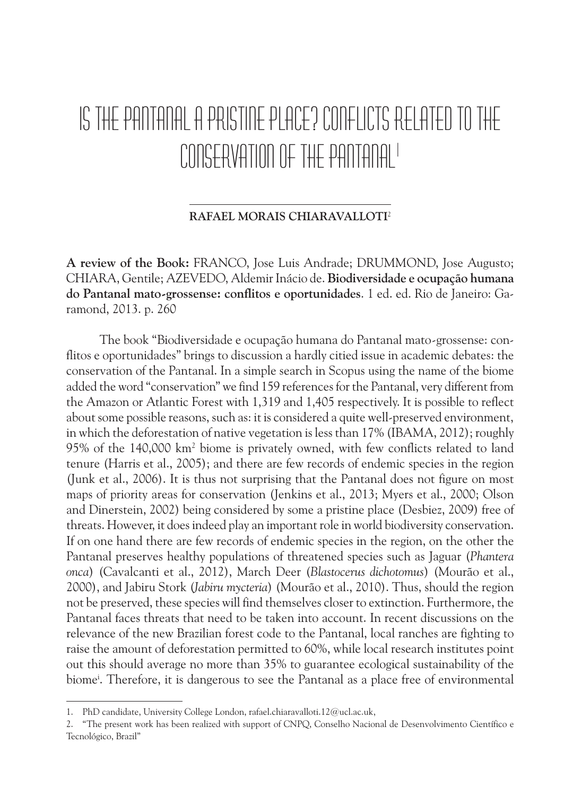## IS THE PANTANAL A PRISTINE PLACE? CONFLICTS RELATED TO THE CONSERVATION OF THE PANTANAL1

#### **RAFAEL MORAIS CHIARAVALLOTI**<sup>2</sup>

**A review of the Book:** FRANCO, Jose Luis Andrade; DRUMMOND, Jose Augusto; CHIARA, Gentile; AZEVEDO, Aldemir Inácio de. **Biodiversidade e ocupação humana do Pantanal mato-grossense: conflitos e oportunidades**. 1 ed. ed. Rio de Janeiro: Garamond, 2013. p. 260

The book "Biodiversidade e ocupação humana do Pantanal mato-grossense: conflitos e oportunidades" brings to discussion a hardly citied issue in academic debates: the conservation of the Pantanal. In a simple search in Scopus using the name of the biome added the word "conservation" we find 159 references for the Pantanal, very different from the Amazon or Atlantic Forest with 1,319 and 1,405 respectively. It is possible to reflect about some possible reasons, such as: it is considered a quite well-preserved environment, in which the deforestation of native vegetation is less than 17% (IBAMA, 2012); roughly 95% of the 140,000 km2 biome is privately owned, with few conflicts related to land tenure (Harris et al., 2005); and there are few records of endemic species in the region (Junk et al., 2006). It is thus not surprising that the Pantanal does not figure on most maps of priority areas for conservation (Jenkins et al., 2013; Myers et al., 2000; Olson and Dinerstein, 2002) being considered by some a pristine place (Desbiez, 2009) free of threats. However, it does indeed play an important role in world biodiversity conservation. If on one hand there are few records of endemic species in the region, on the other the Pantanal preserves healthy populations of threatened species such as Jaguar (*Phantera onca*) (Cavalcanti et al., 2012), March Deer (*Blastocerus dichotomus*) (Mourão et al., 2000), and Jabiru Stork (*Jabiru mycteria*) (Mourão et al., 2010). Thus, should the region not be preserved, these species will find themselves closer to extinction. Furthermore, the Pantanal faces threats that need to be taken into account. In recent discussions on the relevance of the new Brazilian forest code to the Pantanal, local ranches are fighting to raise the amount of deforestation permitted to 60%, while local research institutes point out this should average no more than 35% to guarantee ecological sustainability of the biomei . Therefore, it is dangerous to see the Pantanal as a place free of environmental

<sup>1.</sup> PhD candidate, University College London, rafael.chiaravalloti.12@ucl.ac.uk,

<sup>2.</sup> "The present work has been realized with support of CNPQ, Conselho Nacional de Desenvolvimento Científico e Tecnológico, Brazil"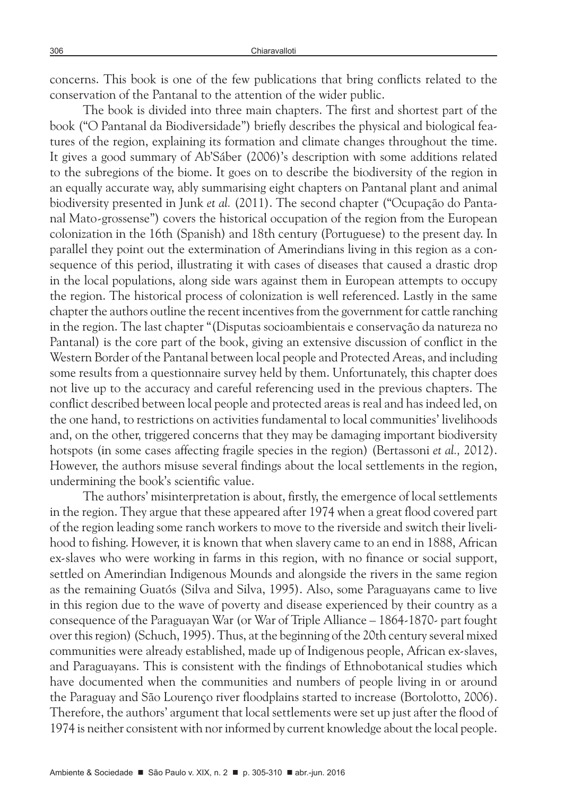concerns. This book is one of the few publications that bring conflicts related to the conservation of the Pantanal to the attention of the wider public.

The book is divided into three main chapters. The first and shortest part of the book ("O Pantanal da Biodiversidade") briefly describes the physical and biological features of the region, explaining its formation and climate changes throughout the time. It gives a good summary of Ab'Sáber (2006)'s description with some additions related to the subregions of the biome. It goes on to describe the biodiversity of the region in an equally accurate way, ably summarising eight chapters on Pantanal plant and animal biodiversity presented in Junk *et al.* (2011). The second chapter ("Ocupação do Pantanal Mato-grossense") covers the historical occupation of the region from the European colonization in the 16th (Spanish) and 18th century (Portuguese) to the present day. In parallel they point out the extermination of Amerindians living in this region as a consequence of this period, illustrating it with cases of diseases that caused a drastic drop in the local populations, along side wars against them in European attempts to occupy the region. The historical process of colonization is well referenced. Lastly in the same chapter the authors outline the recent incentives from the government for cattle ranching in the region. The last chapter "(Disputas socioambientais e conservação da natureza no Pantanal) is the core part of the book, giving an extensive discussion of conflict in the Western Border of the Pantanal between local people and Protected Areas, and including some results from a questionnaire survey held by them. Unfortunately, this chapter does not live up to the accuracy and careful referencing used in the previous chapters. The conflict described between local people and protected areas is real and has indeed led, on the one hand, to restrictions on activities fundamental to local communities' livelihoods and, on the other, triggered concerns that they may be damaging important biodiversity hotspots (in some cases affecting fragile species in the region) (Bertassoni *et al.,* 2012). However, the authors misuse several findings about the local settlements in the region, undermining the book's scientific value.

The authors' misinterpretation is about, firstly, the emergence of local settlements in the region. They argue that these appeared after 1974 when a great flood covered part of the region leading some ranch workers to move to the riverside and switch their livelihood to fishing. However, it is known that when slavery came to an end in 1888, African ex-slaves who were working in farms in this region, with no finance or social support, settled on Amerindian Indigenous Mounds and alongside the rivers in the same region as the remaining Guatós (Silva and Silva, 1995). Also, some Paraguayans came to live in this region due to the wave of poverty and disease experienced by their country as a consequence of the Paraguayan War (or War of Triple Alliance – 1864-1870- part fought over this region) (Schuch, 1995). Thus, at the beginning of the 20th century several mixed communities were already established, made up of Indigenous people, African ex-slaves, and Paraguayans. This is consistent with the findings of Ethnobotanical studies which have documented when the communities and numbers of people living in or around the Paraguay and São Lourenço river floodplains started to increase (Bortolotto, 2006). Therefore, the authors' argument that local settlements were set up just after the flood of 1974 is neither consistent with nor informed by current knowledge about the local people.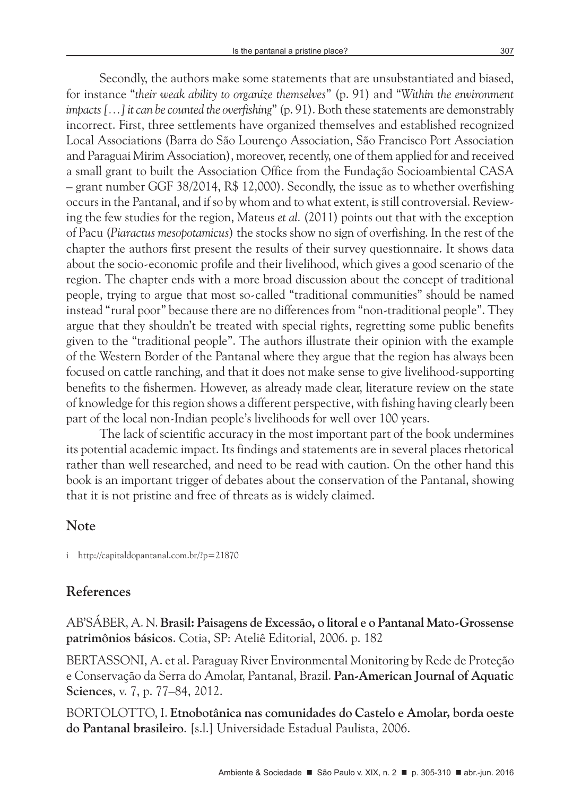Secondly, the authors make some statements that are unsubstantiated and biased, for instance "*their weak ability to organize themselves*" (p. 91) and "*Within the environment impacts […] it can be counted the overfishing*" (p. 91). Both these statements are demonstrably incorrect. First, three settlements have organized themselves and established recognized Local Associations (Barra do São Lourenço Association, São Francisco Port Association and Paraguai Mirim Association), moreover, recently, one of them applied for and received a small grant to built the Association Office from the Fundação Socioambiental CASA – grant number GGF 38/2014, R\$ 12,000). Secondly, the issue as to whether overfishing occurs in the Pantanal, and if so by whom and to what extent, is still controversial. Reviewing the few studies for the region, Mateus *et al.* (2011) points out that with the exception of Pacu (*Piaractus mesopotamicus*) the stocks show no sign of overfishing. In the rest of the chapter the authors first present the results of their survey questionnaire. It shows data about the socio-economic profile and their livelihood, which gives a good scenario of the region. The chapter ends with a more broad discussion about the concept of traditional people, trying to argue that most so-called "traditional communities" should be named instead "rural poor" because there are no differences from "non-traditional people". They argue that they shouldn't be treated with special rights, regretting some public benefits given to the "traditional people". The authors illustrate their opinion with the example of the Western Border of the Pantanal where they argue that the region has always been focused on cattle ranching, and that it does not make sense to give livelihood-supporting benefits to the fishermen. However, as already made clear, literature review on the state of knowledge for this region shows a different perspective, with fishing having clearly been part of the local non-Indian people's livelihoods for well over 100 years.

The lack of scientific accuracy in the most important part of the book undermines its potential academic impact. Its findings and statements are in several places rhetorical rather than well researched, and need to be read with caution. On the other hand this book is an important trigger of debates about the conservation of the Pantanal, showing that it is not pristine and free of threats as is widely claimed.

### **Note**

i http://capitaldopantanal.com.br/?p=21870

### **References**

AB'SÁBER, A. N. **Brasil: Paisagens de Excessão, o litoral e o Pantanal Mato-Grossense patrimônios básicos**. Cotia, SP: Ateliê Editorial, 2006. p. 182

BERTASSONI, A. et al. Paraguay River Environmental Monitoring by Rede de Proteção e Conservação da Serra do Amolar, Pantanal, Brazil. **Pan-American Journal of Aquatic Sciences**, v. 7, p. 77–84, 2012.

BORTOLOTTO, I. **Etnobotânica nas comunidades do Castelo e Amolar, borda oeste do Pantanal brasileiro**. [s.l.] Universidade Estadual Paulista, 2006.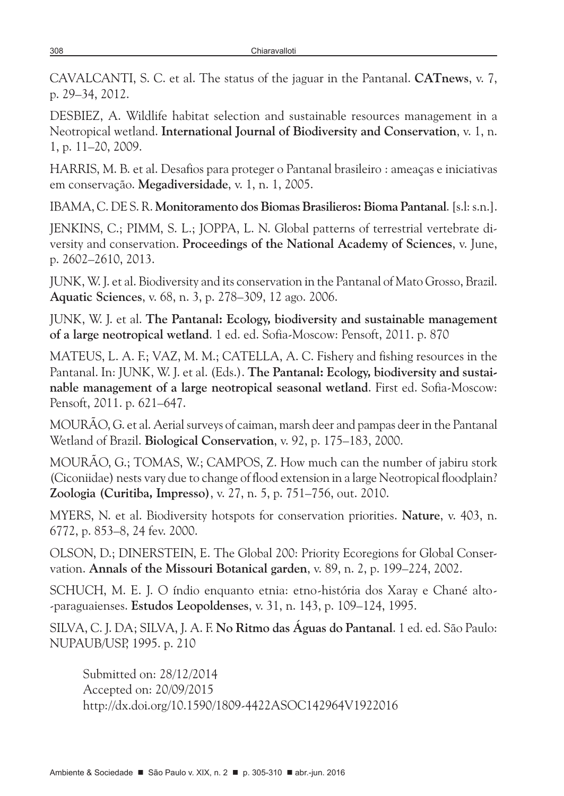CAVALCANTI, S. C. et al. The status of the jaguar in the Pantanal. **CATnews**, v. 7, p. 29–34, 2012.

DESBIEZ, A. Wildlife habitat selection and sustainable resources management in a Neotropical wetland. **International Journal of Biodiversity and Conservation**, v. 1, n. 1, p. 11–20, 2009.

HARRIS, M. B. et al. Desafios para proteger o Pantanal brasileiro : ameaças e iniciativas em conservação. **Megadiversidade**, v. 1, n. 1, 2005.

IBAMA, C. DE S. R. **Monitoramento dos Biomas Brasilieros: Bioma Pantanal**. [s.l: s.n.].

JENKINS, C.; PIMM, S. L.; JOPPA, L. N. Global patterns of terrestrial vertebrate diversity and conservation. **Proceedings of the National Academy of Sciences**, v. June, p. 2602–2610, 2013.

JUNK, W. J. et al. Biodiversity and its conservation in the Pantanal of Mato Grosso, Brazil. **Aquatic Sciences**, v. 68, n. 3, p. 278–309, 12 ago. 2006.

JUNK, W. J. et al. **The Pantanal: Ecology, biodiversity and sustainable management of a large neotropical wetland**. 1 ed. ed. Sofia-Moscow: Pensoft, 2011. p. 870

MATEUS, L. A. F.; VAZ, M. M.; CATELLA, A. C. Fishery and fishing resources in the Pantanal. In: JUNK, W. J. et al. (Eds.). **The Pantanal: Ecology, biodiversity and sustainable management of a large neotropical seasonal wetland**. First ed. Sofia-Moscow: Pensoft, 2011. p. 621–647.

MOURÃO, G. et al. Aerial surveys of caiman, marsh deer and pampas deer in the Pantanal Wetland of Brazil. **Biological Conservation**, v. 92, p. 175–183, 2000.

MOURÃO, G.; TOMAS, W.; CAMPOS, Z. How much can the number of jabiru stork (Ciconiidae) nests vary due to change of flood extension in a large Neotropical floodplain? **Zoologia (Curitiba, Impresso)**, v. 27, n. 5, p. 751–756, out. 2010.

MYERS, N. et al. Biodiversity hotspots for conservation priorities. **Nature**, v. 403, n. 6772, p. 853–8, 24 fev. 2000.

OLSON, D.; DINERSTEIN, E. The Global 200: Priority Ecoregions for Global Conservation. **Annals of the Missouri Botanical garden**, v. 89, n. 2, p. 199–224, 2002.

SCHUCH, M. E. J. O índio enquanto etnia: etno-história dos Xaray e Chané alto- -paraguaienses. **Estudos Leopoldenses**, v. 31, n. 143, p. 109–124, 1995.

SILVA, C. J. DA; SILVA, J. A. F. **No Ritmo das Águas do Pantanal**. 1 ed. ed. São Paulo: NUPAUB/USP, 1995. p. 210

Submitted on: 28/12/2014 Accepted on: 20/09/2015 http://dx.doi.org/10.1590/1809-4422ASOC142964V1922016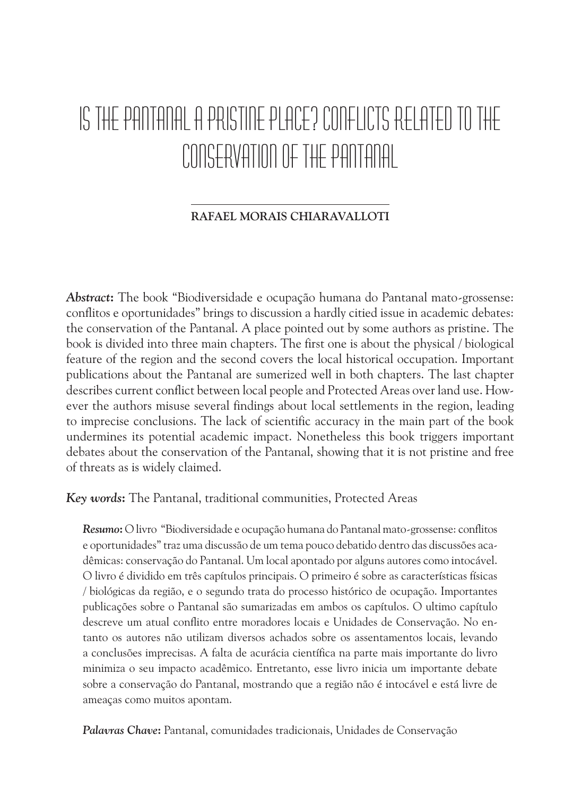# IS THE PANTANAL A PRISTINE PLACE? CONFLICTS RELATED TO THE CONSERVATION OF THE PANTANAL

#### **RAFAEL MORAIS CHIARAVALLOTI**

*Abstract***:** The book "Biodiversidade e ocupação humana do Pantanal mato-grossense: conflitos e oportunidades" brings to discussion a hardly citied issue in academic debates: the conservation of the Pantanal. A place pointed out by some authors as pristine. The book is divided into three main chapters. The first one is about the physical / biological feature of the region and the second covers the local historical occupation. Important publications about the Pantanal are sumerized well in both chapters. The last chapter describes current conflict between local people and Protected Areas over land use. However the authors misuse several findings about local settlements in the region, leading to imprecise conclusions. The lack of scientific accuracy in the main part of the book undermines its potential academic impact. Nonetheless this book triggers important debates about the conservation of the Pantanal, showing that it is not pristine and free of threats as is widely claimed.

*Key words***:** The Pantanal, traditional communities, Protected Areas

*Resumo***:** O livro "Biodiversidade e ocupação humana do Pantanal mato-grossense: conflitos e oportunidades" traz uma discussão de um tema pouco debatido dentro das discussões acadêmicas: conservação do Pantanal. Um local apontado por alguns autores como intocável. O livro é dividido em três capítulos principais. O primeiro é sobre as características físicas / biológicas da região, e o segundo trata do processo histórico de ocupação. Importantes publicações sobre o Pantanal são sumarizadas em ambos os capítulos. O ultimo capítulo descreve um atual conflito entre moradores locais e Unidades de Conservação. No entanto os autores não utilizam diversos achados sobre os assentamentos locais, levando a conclusões imprecisas. A falta de acurácia científica na parte mais importante do livro minimiza o seu impacto acadêmico. Entretanto, esse livro inicia um importante debate sobre a conservação do Pantanal, mostrando que a região não é intocável e está livre de ameaças como muitos apontam.

*Palavras Chave***:** Pantanal, comunidades tradicionais, Unidades de Conservação